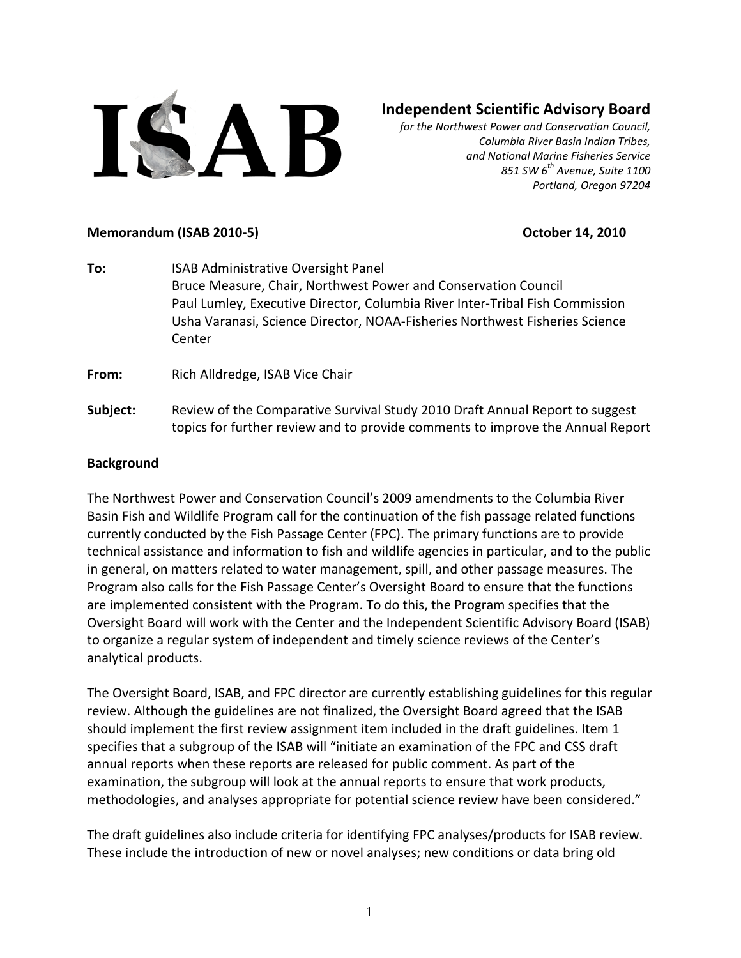

# **Independent Scientific Advisory Board**

*for the Northwest Power and Conservation Council, Columbia River Basin Indian Tribes, and National Marine Fisheries Service 851 SW 6th Avenue, Suite 1100 Portland, Oregon 97204*

#### **Memorandum (ISAB 2010-5) October 14, 2010**

**To:** ISAB Administrative Oversight Panel Bruce Measure, Chair, Northwest Power and Conservation Council Paul Lumley, Executive Director, Columbia River Inter-Tribal Fish Commission Usha Varanasi, Science Director, NOAA-Fisheries Northwest Fisheries Science Center

**From:** Rich Alldredge, ISAB Vice Chair

**Subject:** Review of the Comparative Survival Study 2010 Draft Annual Report to suggest topics for further review and to provide comments to improve the Annual Report

#### **Background**

The Northwest Power and Conservation Council's 2009 amendments to the Columbia River Basin Fish and Wildlife Program call for the continuation of the fish passage related functions currently conducted by the Fish Passage Center (FPC). The primary functions are to provide technical assistance and information to fish and wildlife agencies in particular, and to the public in general, on matters related to water management, spill, and other passage measures. The Program also calls for the Fish Passage Center's Oversight Board to ensure that the functions are implemented consistent with the Program. To do this, the Program specifies that the Oversight Board will work with the Center and the Independent Scientific Advisory Board (ISAB) to organize a regular system of independent and timely science reviews of the Center's analytical products.

The Oversight Board, ISAB, and FPC director are currently establishing guidelines for this regular review. Although the guidelines are not finalized, the Oversight Board agreed that the ISAB should implement the first review assignment item included in the draft guidelines. Item 1 specifies that a subgroup of the ISAB will "initiate an examination of the FPC and CSS draft annual reports when these reports are released for public comment. As part of the examination, the subgroup will look at the annual reports to ensure that work products, methodologies, and analyses appropriate for potential science review have been considered."

The draft guidelines also include criteria for identifying FPC analyses/products for ISAB review. These include the introduction of new or novel analyses; new conditions or data bring old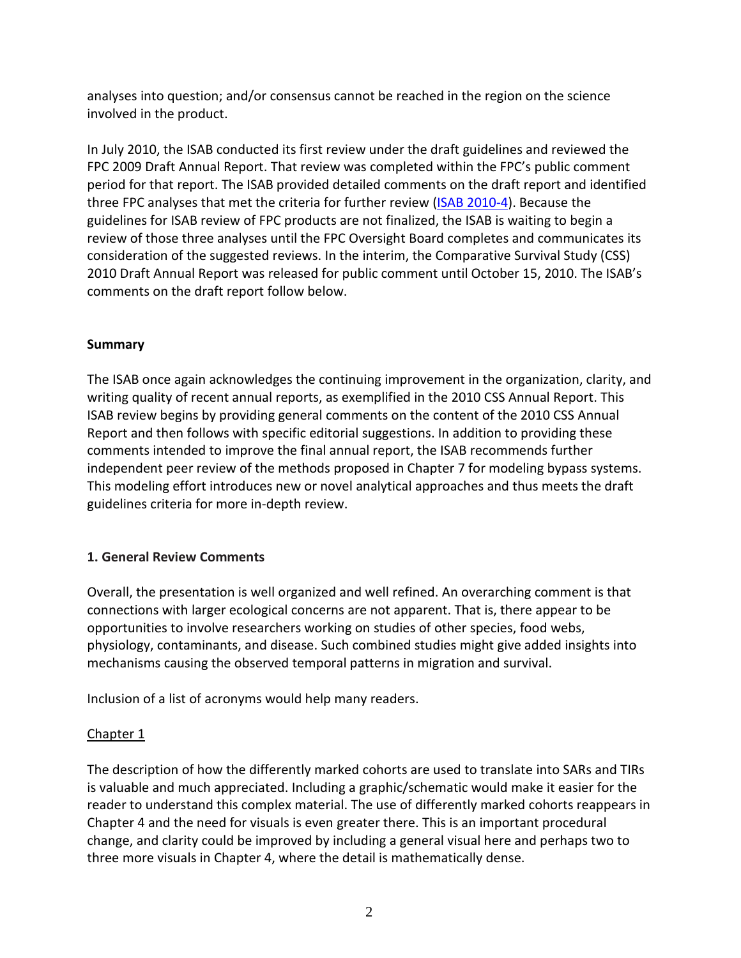analyses into question; and/or consensus cannot be reached in the region on the science involved in the product.

In July 2010, the ISAB conducted its first review under the draft guidelines and reviewed the FPC 2009 Draft Annual Report. That review was completed within the FPC's public comment period for that report. The ISAB provided detailed comments on the draft report and identified three FPC analyses that met the criteria for further review [\(ISAB 2010-4\)](http://www.nwcouncil.org/library/isab/isab2010-4.htm). Because the guidelines for ISAB review of FPC products are not finalized, the ISAB is waiting to begin a review of those three analyses until the FPC Oversight Board completes and communicates its consideration of the suggested reviews. In the interim, the Comparative Survival Study (CSS) 2010 Draft Annual Report was released for public comment until October 15, 2010. The ISAB's comments on the draft report follow below.

### **Summary**

The ISAB once again acknowledges the continuing improvement in the organization, clarity, and writing quality of recent annual reports, as exemplified in the 2010 CSS Annual Report. This ISAB review begins by providing general comments on the content of the 2010 CSS Annual Report and then follows with specific editorial suggestions. In addition to providing these comments intended to improve the final annual report, the ISAB recommends further independent peer review of the methods proposed in Chapter 7 for modeling bypass systems. This modeling effort introduces new or novel analytical approaches and thus meets the draft guidelines criteria for more in-depth review.

## **1. General Review Comments**

Overall, the presentation is well organized and well refined. An overarching comment is that connections with larger ecological concerns are not apparent. That is, there appear to be opportunities to involve researchers working on studies of other species, food webs, physiology, contaminants, and disease. Such combined studies might give added insights into mechanisms causing the observed temporal patterns in migration and survival.

Inclusion of a list of acronyms would help many readers.

## Chapter 1

The description of how the differently marked cohorts are used to translate into SARs and TIRs is valuable and much appreciated. Including a graphic/schematic would make it easier for the reader to understand this complex material. The use of differently marked cohorts reappears in Chapter 4 and the need for visuals is even greater there. This is an important procedural change, and clarity could be improved by including a general visual here and perhaps two to three more visuals in Chapter 4, where the detail is mathematically dense.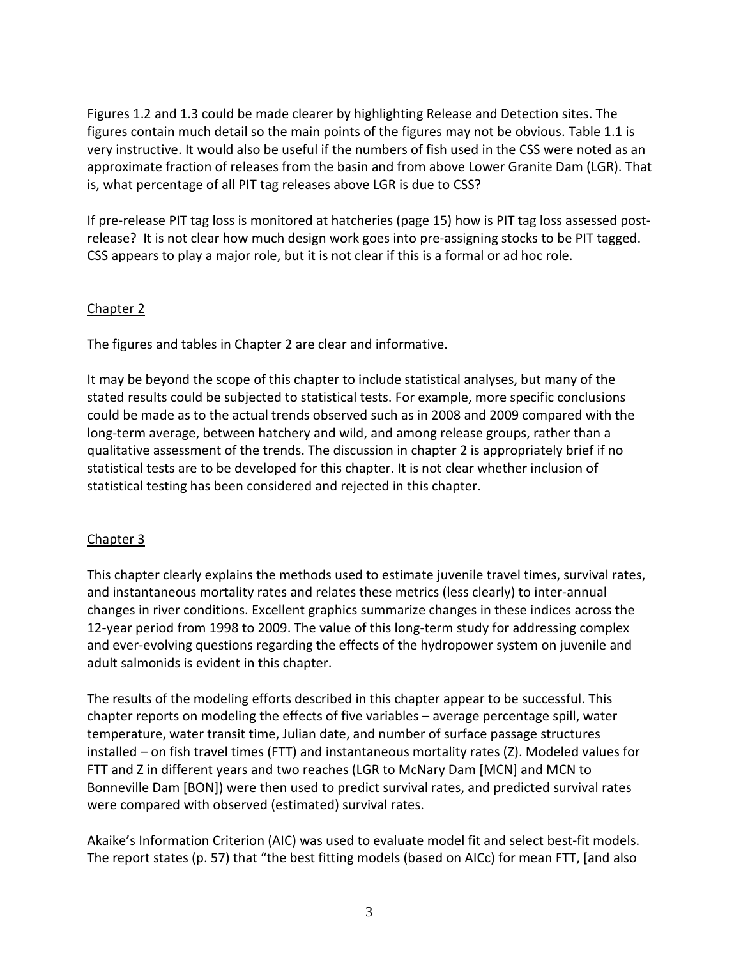Figures 1.2 and 1.3 could be made clearer by highlighting Release and Detection sites. The figures contain much detail so the main points of the figures may not be obvious. Table 1.1 is very instructive. It would also be useful if the numbers of fish used in the CSS were noted as an approximate fraction of releases from the basin and from above Lower Granite Dam (LGR). That is, what percentage of all PIT tag releases above LGR is due to CSS?

If pre-release PIT tag loss is monitored at hatcheries (page 15) how is PIT tag loss assessed postrelease? It is not clear how much design work goes into pre-assigning stocks to be PIT tagged. CSS appears to play a major role, but it is not clear if this is a formal or ad hoc role.

### Chapter 2

The figures and tables in Chapter 2 are clear and informative.

It may be beyond the scope of this chapter to include statistical analyses, but many of the stated results could be subjected to statistical tests. For example, more specific conclusions could be made as to the actual trends observed such as in 2008 and 2009 compared with the long-term average, between hatchery and wild, and among release groups, rather than a qualitative assessment of the trends. The discussion in chapter 2 is appropriately brief if no statistical tests are to be developed for this chapter. It is not clear whether inclusion of statistical testing has been considered and rejected in this chapter.

## Chapter 3

This chapter clearly explains the methods used to estimate juvenile travel times, survival rates, and instantaneous mortality rates and relates these metrics (less clearly) to inter-annual changes in river conditions. Excellent graphics summarize changes in these indices across the 12-year period from 1998 to 2009. The value of this long-term study for addressing complex and ever-evolving questions regarding the effects of the hydropower system on juvenile and adult salmonids is evident in this chapter.

The results of the modeling efforts described in this chapter appear to be successful. This chapter reports on modeling the effects of five variables – average percentage spill, water temperature, water transit time, Julian date, and number of surface passage structures installed – on fish travel times (FTT) and instantaneous mortality rates (Z). Modeled values for FTT and Z in different years and two reaches (LGR to McNary Dam [MCN] and MCN to Bonneville Dam [BON]) were then used to predict survival rates, and predicted survival rates were compared with observed (estimated) survival rates.

Akaike's Information Criterion (AIC) was used to evaluate model fit and select best-fit models. The report states (p. 57) that "the best fitting models (based on AICc) for mean FTT, [and also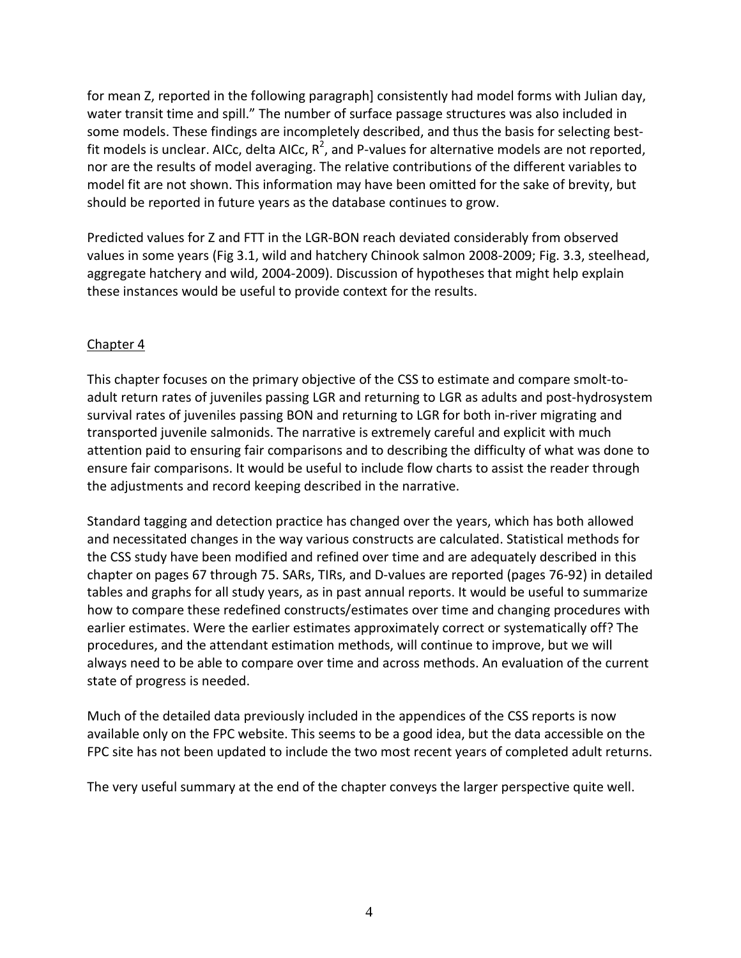for mean Z, reported in the following paragraph] consistently had model forms with Julian day, water transit time and spill." The number of surface passage structures was also included in some models. These findings are incompletely described, and thus the basis for selecting bestfit models is unclear. AICc, delta AICc,  $R^2$ , and P-values for alternative models are not reported, nor are the results of model averaging. The relative contributions of the different variables to model fit are not shown. This information may have been omitted for the sake of brevity, but should be reported in future years as the database continues to grow.

Predicted values for Z and FTT in the LGR-BON reach deviated considerably from observed values in some years (Fig 3.1, wild and hatchery Chinook salmon 2008-2009; Fig. 3.3, steelhead, aggregate hatchery and wild, 2004-2009). Discussion of hypotheses that might help explain these instances would be useful to provide context for the results.

### Chapter 4

This chapter focuses on the primary objective of the CSS to estimate and compare smolt-toadult return rates of juveniles passing LGR and returning to LGR as adults and post-hydrosystem survival rates of juveniles passing BON and returning to LGR for both in-river migrating and transported juvenile salmonids. The narrative is extremely careful and explicit with much attention paid to ensuring fair comparisons and to describing the difficulty of what was done to ensure fair comparisons. It would be useful to include flow charts to assist the reader through the adjustments and record keeping described in the narrative.

Standard tagging and detection practice has changed over the years, which has both allowed and necessitated changes in the way various constructs are calculated. Statistical methods for the CSS study have been modified and refined over time and are adequately described in this chapter on pages 67 through 75. SARs, TIRs, and D-values are reported (pages 76-92) in detailed tables and graphs for all study years, as in past annual reports. It would be useful to summarize how to compare these redefined constructs/estimates over time and changing procedures with earlier estimates. Were the earlier estimates approximately correct or systematically off? The procedures, and the attendant estimation methods, will continue to improve, but we will always need to be able to compare over time and across methods. An evaluation of the current state of progress is needed.

Much of the detailed data previously included in the appendices of the CSS reports is now available only on the FPC website. This seems to be a good idea, but the data accessible on the FPC site has not been updated to include the two most recent years of completed adult returns.

The very useful summary at the end of the chapter conveys the larger perspective quite well.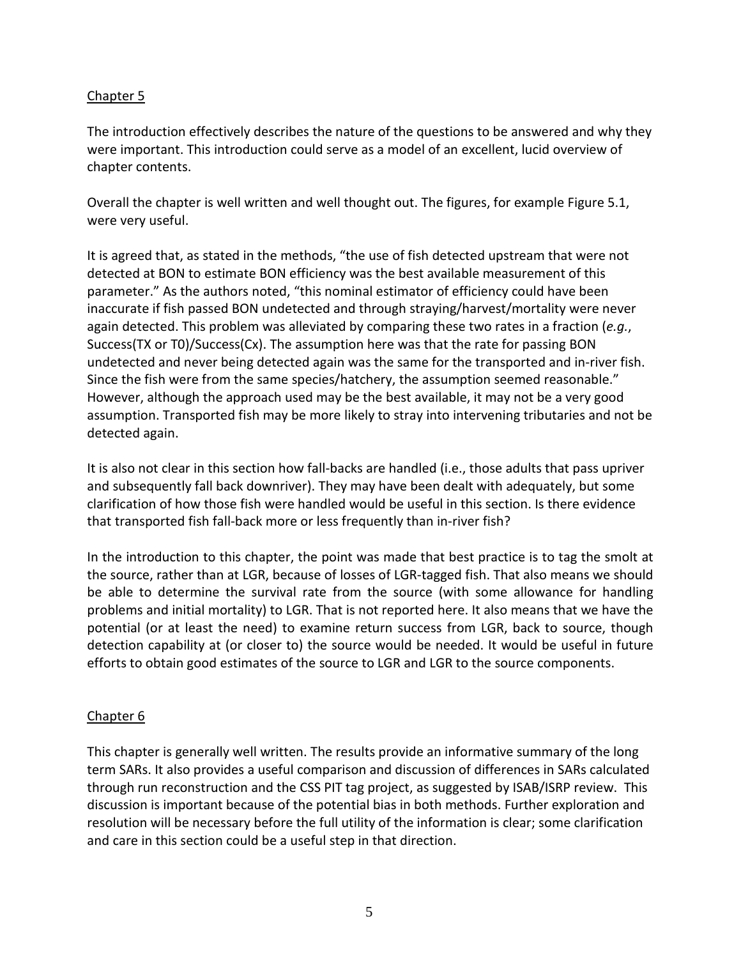### Chapter 5

The introduction effectively describes the nature of the questions to be answered and why they were important. This introduction could serve as a model of an excellent, lucid overview of chapter contents.

Overall the chapter is well written and well thought out. The figures, for example Figure 5.1, were very useful.

It is agreed that, as stated in the methods, "the use of fish detected upstream that were not detected at BON to estimate BON efficiency was the best available measurement of this parameter." As the authors noted, "this nominal estimator of efficiency could have been inaccurate if fish passed BON undetected and through straying/harvest/mortality were never again detected. This problem was alleviated by comparing these two rates in a fraction (*e.g.*, Success(TX or T0)/Success(Cx). The assumption here was that the rate for passing BON undetected and never being detected again was the same for the transported and in-river fish. Since the fish were from the same species/hatchery, the assumption seemed reasonable." However, although the approach used may be the best available, it may not be a very good assumption. Transported fish may be more likely to stray into intervening tributaries and not be detected again.

It is also not clear in this section how fall-backs are handled (i.e., those adults that pass upriver and subsequently fall back downriver). They may have been dealt with adequately, but some clarification of how those fish were handled would be useful in this section. Is there evidence that transported fish fall-back more or less frequently than in-river fish?

In the introduction to this chapter, the point was made that best practice is to tag the smolt at the source, rather than at LGR, because of losses of LGR-tagged fish. That also means we should be able to determine the survival rate from the source (with some allowance for handling problems and initial mortality) to LGR. That is not reported here. It also means that we have the potential (or at least the need) to examine return success from LGR, back to source, though detection capability at (or closer to) the source would be needed. It would be useful in future efforts to obtain good estimates of the source to LGR and LGR to the source components.

#### Chapter 6

This chapter is generally well written. The results provide an informative summary of the long term SARs. It also provides a useful comparison and discussion of differences in SARs calculated through run reconstruction and the CSS PIT tag project, as suggested by ISAB/ISRP review. This discussion is important because of the potential bias in both methods. Further exploration and resolution will be necessary before the full utility of the information is clear; some clarification and care in this section could be a useful step in that direction.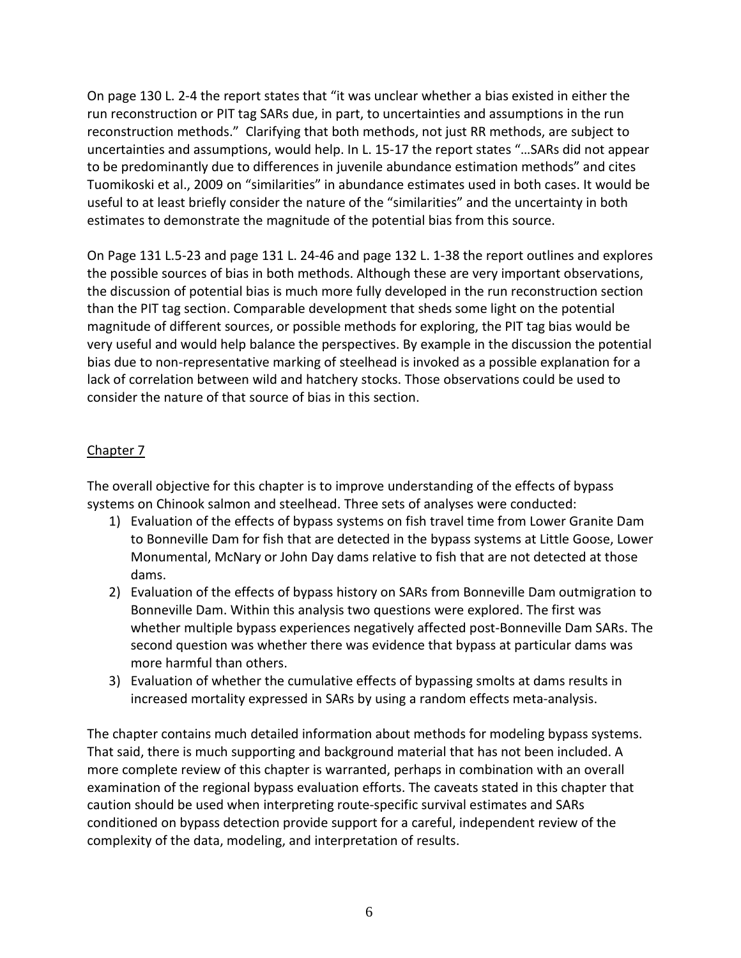On page 130 L. 2-4 the report states that "it was unclear whether a bias existed in either the run reconstruction or PIT tag SARs due, in part, to uncertainties and assumptions in the run reconstruction methods." Clarifying that both methods, not just RR methods, are subject to uncertainties and assumptions, would help. In L. 15-17 the report states "…SARs did not appear to be predominantly due to differences in juvenile abundance estimation methods" and cites Tuomikoski et al., 2009 on "similarities" in abundance estimates used in both cases. It would be useful to at least briefly consider the nature of the "similarities" and the uncertainty in both estimates to demonstrate the magnitude of the potential bias from this source.

On Page 131 L.5-23 and page 131 L. 24-46 and page 132 L. 1-38 the report outlines and explores the possible sources of bias in both methods. Although these are very important observations, the discussion of potential bias is much more fully developed in the run reconstruction section than the PIT tag section. Comparable development that sheds some light on the potential magnitude of different sources, or possible methods for exploring, the PIT tag bias would be very useful and would help balance the perspectives. By example in the discussion the potential bias due to non-representative marking of steelhead is invoked as a possible explanation for a lack of correlation between wild and hatchery stocks. Those observations could be used to consider the nature of that source of bias in this section.

## Chapter 7

The overall objective for this chapter is to improve understanding of the effects of bypass systems on Chinook salmon and steelhead. Three sets of analyses were conducted:

- 1) Evaluation of the effects of bypass systems on fish travel time from Lower Granite Dam to Bonneville Dam for fish that are detected in the bypass systems at Little Goose, Lower Monumental, McNary or John Day dams relative to fish that are not detected at those dams.
- 2) Evaluation of the effects of bypass history on SARs from Bonneville Dam outmigration to Bonneville Dam. Within this analysis two questions were explored. The first was whether multiple bypass experiences negatively affected post-Bonneville Dam SARs. The second question was whether there was evidence that bypass at particular dams was more harmful than others.
- 3) Evaluation of whether the cumulative effects of bypassing smolts at dams results in increased mortality expressed in SARs by using a random effects meta-analysis.

The chapter contains much detailed information about methods for modeling bypass systems. That said, there is much supporting and background material that has not been included. A more complete review of this chapter is warranted, perhaps in combination with an overall examination of the regional bypass evaluation efforts. The caveats stated in this chapter that caution should be used when interpreting route-specific survival estimates and SARs conditioned on bypass detection provide support for a careful, independent review of the complexity of the data, modeling, and interpretation of results.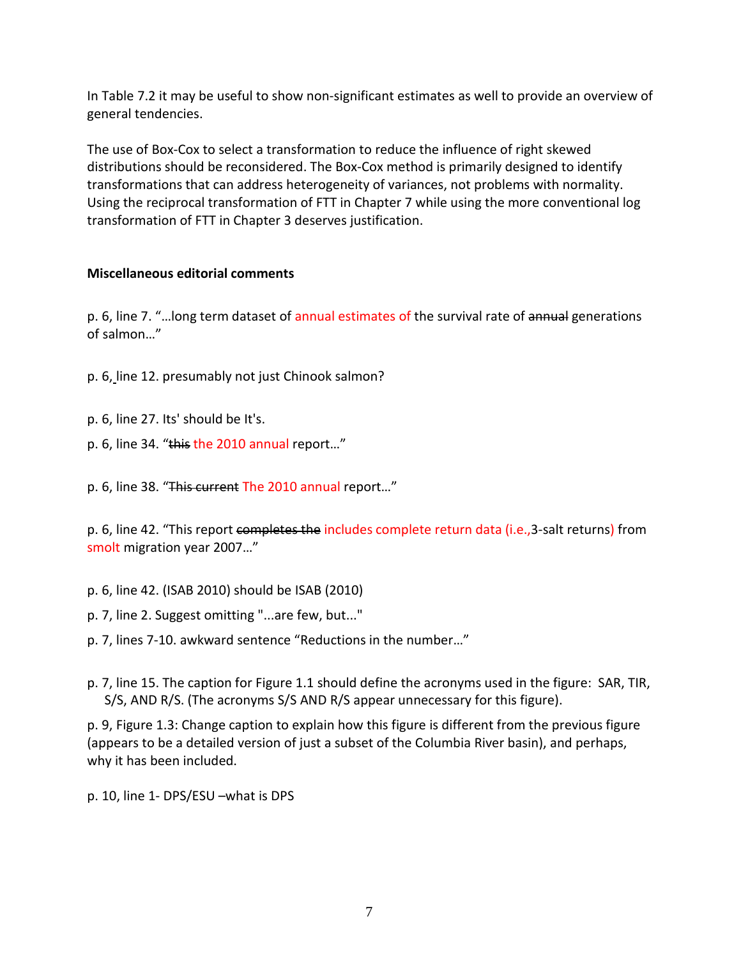In Table 7.2 it may be useful to show non-significant estimates as well to provide an overview of general tendencies.

The use of Box-Cox to select a transformation to reduce the influence of right skewed distributions should be reconsidered. The Box-Cox method is primarily designed to identify transformations that can address heterogeneity of variances, not problems with normality. Using the reciprocal transformation of FTT in Chapter 7 while using the more conventional log transformation of FTT in Chapter 3 deserves justification.

#### **Miscellaneous editorial comments**

p. 6, line 7. "...long term dataset of annual estimates of the survival rate of annual generations of salmon…"

- p. 6, line 12. presumably not just Chinook salmon?
- p. 6, line 27. Its' should be It's.
- p. 6, line 34. "this the 2010 annual report..."
- p. 6, line 38. "This current The 2010 annual report..."

p. 6, line 42. "This report completes the includes complete return data (i.e., 3-salt returns) from smolt migration year 2007…"

- p. 6, line 42. (ISAB 2010) should be ISAB (2010)
- p. 7, line 2. Suggest omitting "...are few, but..."
- p. 7, lines 7-10. awkward sentence "Reductions in the number…"
- p. 7, line 15. The caption for Figure 1.1 should define the acronyms used in the figure: SAR, TIR, S/S, AND R/S. (The acronyms S/S AND R/S appear unnecessary for this figure).

p. 9, Figure 1.3: Change caption to explain how this figure is different from the previous figure (appears to be a detailed version of just a subset of the Columbia River basin), and perhaps, why it has been included.

p. 10, line 1- DPS/ESU –what is DPS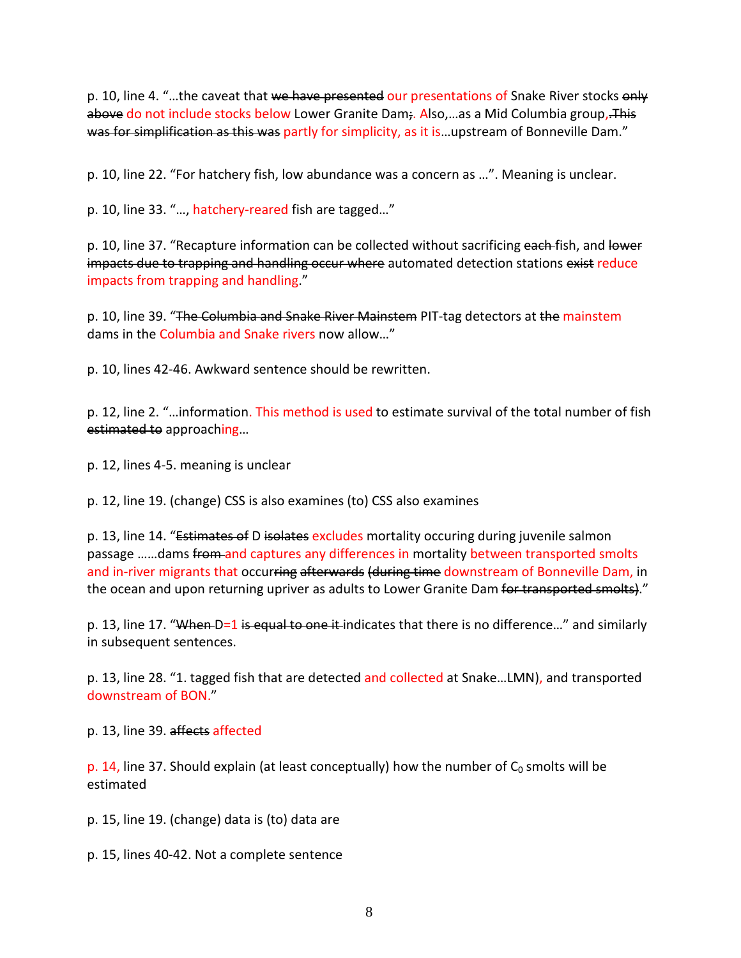p. 10, line 4. "...the caveat that we have presented our presentations of Snake River stocks only above do not include stocks below Lower Granite Dam;. Also,...as a Mid Columbia group, This was for simplification as this was partly for simplicity, as it is... upstream of Bonneville Dam."

p. 10, line 22. "For hatchery fish, low abundance was a concern as …". Meaning is unclear.

p. 10, line 33. "…, hatchery-reared fish are tagged…"

p. 10, line 37. "Recapture information can be collected without sacrificing each fish, and lower impacts due to trapping and handling occur where automated detection stations exist reduce impacts from trapping and handling."

p. 10, line 39. "The Columbia and Snake River Mainstem PIT-tag detectors at the mainstem dams in the Columbia and Snake rivers now allow…"

p. 10, lines 42-46. Awkward sentence should be rewritten.

p. 12, line 2. "…information. This method is used to estimate survival of the total number of fish estimated to approaching…

p. 12, lines 4-5. meaning is unclear

p. 12, line 19. (change) CSS is also examines (to) CSS also examines

p. 13, line 14. "Estimates of D isolates excludes mortality occuring during juvenile salmon passage ......dams from and captures any differences in mortality between transported smolts and in-river migrants that occurring afterwards (during time downstream of Bonneville Dam, in the ocean and upon returning upriver as adults to Lower Granite Dam for transported smolts)."

p. 13, line 17. "When-D=1 is equal to one it-indicates that there is no difference..." and similarly in subsequent sentences.

p. 13, line 28. "1. tagged fish that are detected and collected at Snake…LMN), and transported downstream of BON."

p. 13, line 39. affects affected

p. 14, line 37. Should explain (at least conceptually) how the number of  $C_0$  smolts will be estimated

p. 15, line 19. (change) data is (to) data are

p. 15, lines 40-42. Not a complete sentence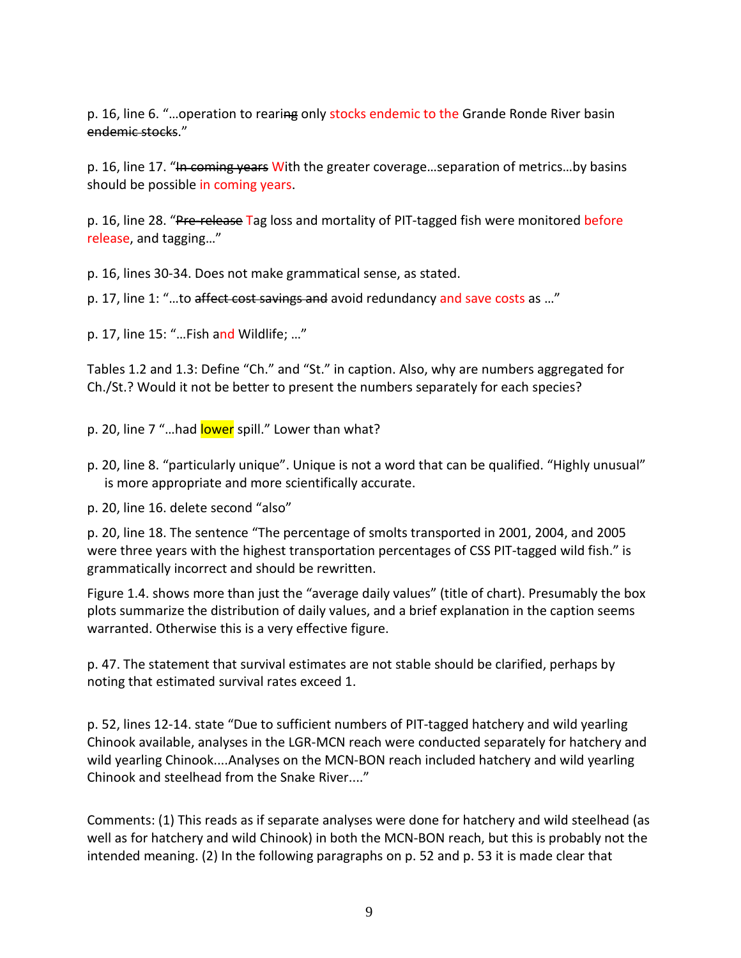p. 16, line 6. "...operation to rearing only stocks endemic to the Grande Ronde River basin endemic stocks."

p. 16, line 17. "He coming years With the greater coverage...separation of metrics...by basins should be possible in coming years.

p. 16, line 28. "Pre-release Tag loss and mortality of PIT-tagged fish were monitored before release, and tagging…"

p. 16, lines 30-34. Does not make grammatical sense, as stated.

p. 17, line 1: "...to affect cost savings and avoid redundancy and save costs as ..."

p. 17, line 15: "…Fish and Wildlife; …"

Tables 1.2 and 1.3: Define "Ch." and "St." in caption. Also, why are numbers aggregated for Ch./St.? Would it not be better to present the numbers separately for each species?

p. 20, line 7 "...had lower spill." Lower than what?

- p. 20, line 8. "particularly unique". Unique is not a word that can be qualified. "Highly unusual" is more appropriate and more scientifically accurate.
- p. 20, line 16. delete second "also"

p. 20, line 18. The sentence "The percentage of smolts transported in 2001, 2004, and 2005 were three years with the highest transportation percentages of CSS PIT-tagged wild fish." is grammatically incorrect and should be rewritten.

Figure 1.4. shows more than just the "average daily values" (title of chart). Presumably the box plots summarize the distribution of daily values, and a brief explanation in the caption seems warranted. Otherwise this is a very effective figure.

p. 47. The statement that survival estimates are not stable should be clarified, perhaps by noting that estimated survival rates exceed 1.

p. 52, lines 12-14. state "Due to sufficient numbers of PIT-tagged hatchery and wild yearling Chinook available, analyses in the LGR-MCN reach were conducted separately for hatchery and wild yearling Chinook....Analyses on the MCN-BON reach included hatchery and wild yearling Chinook and steelhead from the Snake River...."

Comments: (1) This reads as if separate analyses were done for hatchery and wild steelhead (as well as for hatchery and wild Chinook) in both the MCN-BON reach, but this is probably not the intended meaning. (2) In the following paragraphs on p. 52 and p. 53 it is made clear that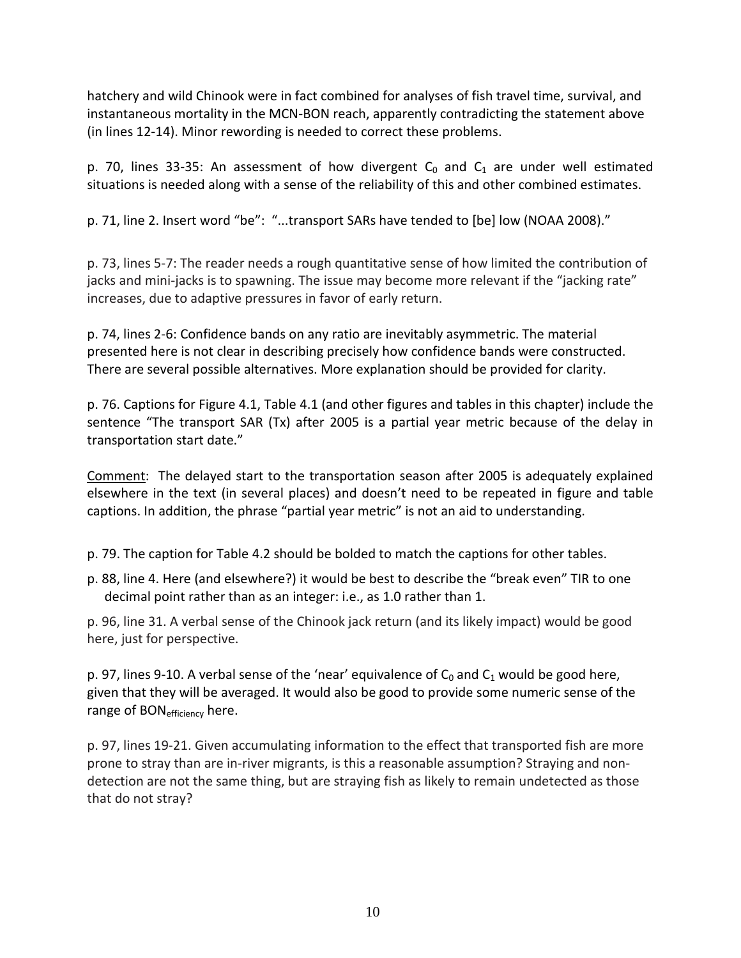hatchery and wild Chinook were in fact combined for analyses of fish travel time, survival, and instantaneous mortality in the MCN-BON reach, apparently contradicting the statement above (in lines 12-14). Minor rewording is needed to correct these problems.

p. 70, lines 33-35: An assessment of how divergent  $C_0$  and  $C_1$  are under well estimated situations is needed along with a sense of the reliability of this and other combined estimates.

p. 71, line 2. Insert word "be": "...transport SARs have tended to [be] low (NOAA 2008)."

p. 73, lines 5-7: The reader needs a rough quantitative sense of how limited the contribution of jacks and mini-jacks is to spawning. The issue may become more relevant if the "jacking rate" increases, due to adaptive pressures in favor of early return.

p. 74, lines 2-6: Confidence bands on any ratio are inevitably asymmetric. The material presented here is not clear in describing precisely how confidence bands were constructed. There are several possible alternatives. More explanation should be provided for clarity.

p. 76. Captions for Figure 4.1, Table 4.1 (and other figures and tables in this chapter) include the sentence "The transport SAR (Tx) after 2005 is a partial year metric because of the delay in transportation start date."

Comment: The delayed start to the transportation season after 2005 is adequately explained elsewhere in the text (in several places) and doesn't need to be repeated in figure and table captions. In addition, the phrase "partial year metric" is not an aid to understanding.

p. 79. The caption for Table 4.2 should be bolded to match the captions for other tables.

p. 88, line 4. Here (and elsewhere?) it would be best to describe the "break even" TIR to one decimal point rather than as an integer: i.e., as 1.0 rather than 1.

p. 96, line 31. A verbal sense of the Chinook jack return (and its likely impact) would be good here, just for perspective.

p. 97, lines 9-10. A verbal sense of the 'near' equivalence of  $C_0$  and  $C_1$  would be good here, given that they will be averaged. It would also be good to provide some numeric sense of the range of BON<sub>efficiency</sub> here.

p. 97, lines 19-21. Given accumulating information to the effect that transported fish are more prone to stray than are in-river migrants, is this a reasonable assumption? Straying and nondetection are not the same thing, but are straying fish as likely to remain undetected as those that do not stray?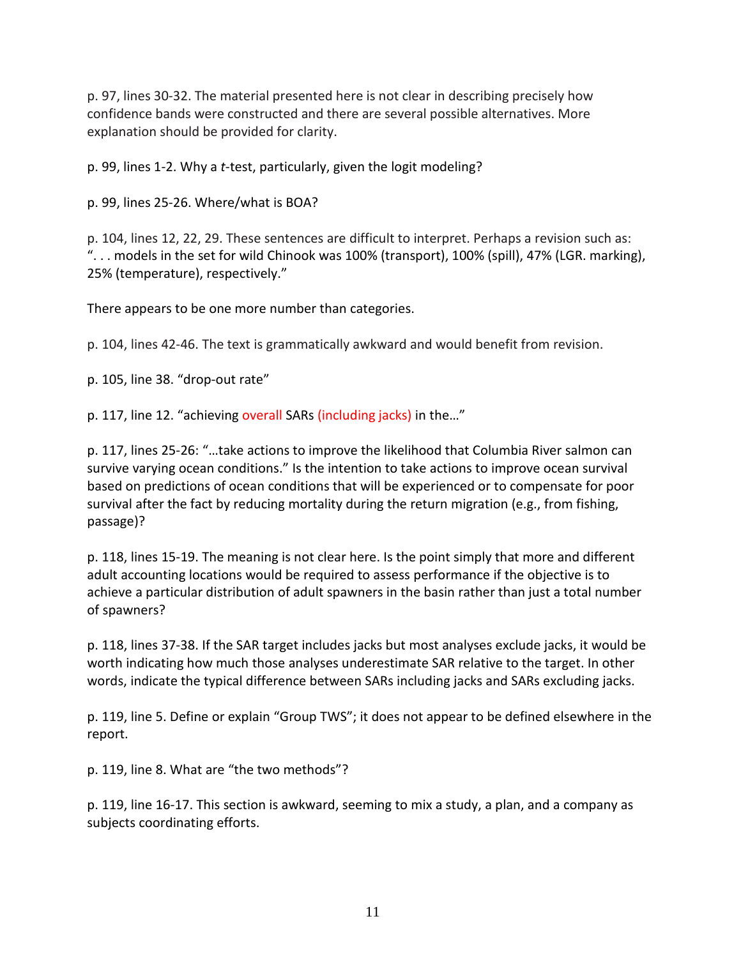p. 97, lines 30-32. The material presented here is not clear in describing precisely how confidence bands were constructed and there are several possible alternatives. More explanation should be provided for clarity.

p. 99, lines 1-2. Why a *t*-test, particularly, given the logit modeling?

p. 99, lines 25-26. Where/what is BOA?

p. 104, lines 12, 22, 29. These sentences are difficult to interpret. Perhaps a revision such as: ". . . models in the set for wild Chinook was 100% (transport), 100% (spill), 47% (LGR. marking), 25% (temperature), respectively."

There appears to be one more number than categories.

p. 104, lines 42-46. The text is grammatically awkward and would benefit from revision.

p. 105, line 38. "drop-out rate"

p. 117, line 12. "achieving overall SARs (including jacks) in the..."

p. 117, lines 25-26: "…take actions to improve the likelihood that Columbia River salmon can survive varying ocean conditions." Is the intention to take actions to improve ocean survival based on predictions of ocean conditions that will be experienced or to compensate for poor survival after the fact by reducing mortality during the return migration (e.g., from fishing, passage)?

p. 118, lines 15-19. The meaning is not clear here. Is the point simply that more and different adult accounting locations would be required to assess performance if the objective is to achieve a particular distribution of adult spawners in the basin rather than just a total number of spawners?

p. 118, lines 37-38. If the SAR target includes jacks but most analyses exclude jacks, it would be worth indicating how much those analyses underestimate SAR relative to the target. In other words, indicate the typical difference between SARs including jacks and SARs excluding jacks.

p. 119, line 5. Define or explain "Group TWS"; it does not appear to be defined elsewhere in the report.

p. 119, line 8. What are "the two methods"?

p. 119, line 16-17. This section is awkward, seeming to mix a study, a plan, and a company as subjects coordinating efforts.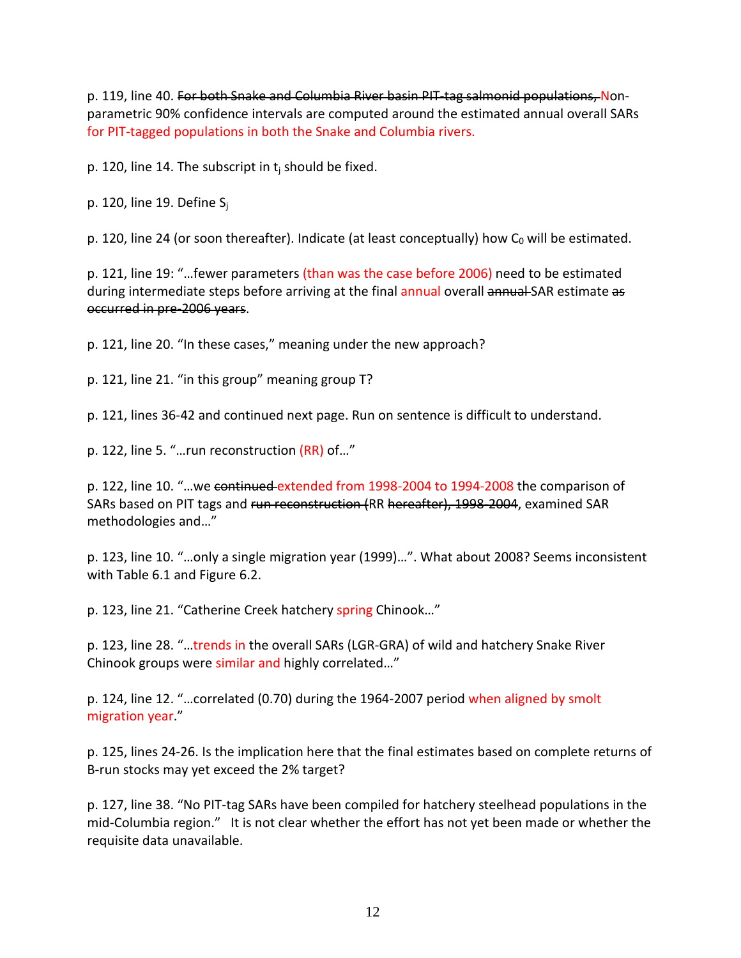p. 119, line 40. For both Snake and Columbia River basin PIT-tag salmonid populations, Nonparametric 90% confidence intervals are computed around the estimated annual overall SARs for PIT-tagged populations in both the Snake and Columbia rivers.

p. 120, line 14. The subscript in  $t_i$  should be fixed.

p. 120, line 19. Define  $S_i$ 

p. 120, line 24 (or soon thereafter). Indicate (at least conceptually) how  $C_0$  will be estimated.

p. 121, line 19: "…fewer parameters (than was the case before 2006) need to be estimated during intermediate steps before arriving at the final annual overall annual SAR estimate as occurred in pre-2006 years.

p. 121, line 20. "In these cases," meaning under the new approach?

p. 121, line 21. "in this group" meaning group T?

p. 121, lines 36-42 and continued next page. Run on sentence is difficult to understand.

p. 122, line 5. "…run reconstruction (RR) of…"

p. 122, line 10. "…we continued extended from 1998-2004 to 1994-2008 the comparison of SARs based on PIT tags and run reconstruction (RR hereafter), 1998-2004, examined SAR methodologies and…"

p. 123, line 10. "…only a single migration year (1999)…". What about 2008? Seems inconsistent with Table 6.1 and Figure 6.2.

p. 123, line 21. "Catherine Creek hatchery spring Chinook…"

p. 123, line 28. "…trends in the overall SARs (LGR-GRA) of wild and hatchery Snake River Chinook groups were similar and highly correlated…"

p. 124, line 12. "…correlated (0.70) during the 1964-2007 period when aligned by smolt migration year."

p. 125, lines 24-26. Is the implication here that the final estimates based on complete returns of B-run stocks may yet exceed the 2% target?

p. 127, line 38. "No PIT-tag SARs have been compiled for hatchery steelhead populations in the mid-Columbia region." It is not clear whether the effort has not yet been made or whether the requisite data unavailable.